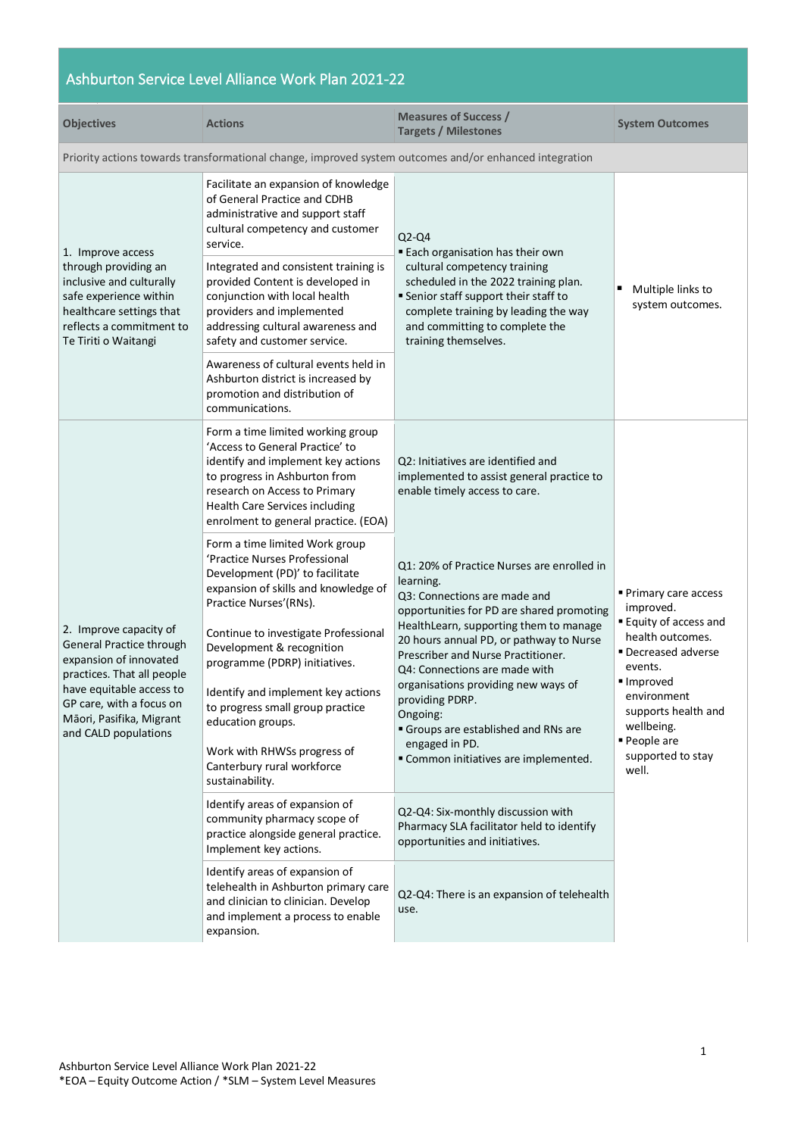## Ashburton Service Level Alliance Work Plan 2021-22

| <b>Objectives</b>                                                                                                                                                                                                             | <b>Actions</b>                                                                                                                                                                                                                                         | <b>Measures of Success /</b><br><b>Targets / Milestones</b>                                                                                                                                                                                                                                                                                                                                                                                                             | <b>System Outcomes</b>                                                                                                                                                                                                           |  |  |
|-------------------------------------------------------------------------------------------------------------------------------------------------------------------------------------------------------------------------------|--------------------------------------------------------------------------------------------------------------------------------------------------------------------------------------------------------------------------------------------------------|-------------------------------------------------------------------------------------------------------------------------------------------------------------------------------------------------------------------------------------------------------------------------------------------------------------------------------------------------------------------------------------------------------------------------------------------------------------------------|----------------------------------------------------------------------------------------------------------------------------------------------------------------------------------------------------------------------------------|--|--|
| Priority actions towards transformational change, improved system outcomes and/or enhanced integration                                                                                                                        |                                                                                                                                                                                                                                                        |                                                                                                                                                                                                                                                                                                                                                                                                                                                                         |                                                                                                                                                                                                                                  |  |  |
| 1. Improve access<br>through providing an<br>inclusive and culturally<br>safe experience within<br>healthcare settings that<br>reflects a commitment to<br>Te Tiriti o Waitangi                                               | Facilitate an expansion of knowledge<br>of General Practice and CDHB<br>administrative and support staff<br>cultural competency and customer<br>service.                                                                                               | $Q2-Q4$<br><b>Each organisation has their own</b><br>cultural competency training<br>scheduled in the 2022 training plan.<br><b>Senior staff support their staff to</b><br>complete training by leading the way<br>and committing to complete the<br>training themselves.                                                                                                                                                                                               | Multiple links to<br>п<br>system outcomes.                                                                                                                                                                                       |  |  |
|                                                                                                                                                                                                                               | Integrated and consistent training is<br>provided Content is developed in<br>conjunction with local health<br>providers and implemented<br>addressing cultural awareness and<br>safety and customer service.                                           |                                                                                                                                                                                                                                                                                                                                                                                                                                                                         |                                                                                                                                                                                                                                  |  |  |
|                                                                                                                                                                                                                               | Awareness of cultural events held in<br>Ashburton district is increased by<br>promotion and distribution of<br>communications.                                                                                                                         |                                                                                                                                                                                                                                                                                                                                                                                                                                                                         |                                                                                                                                                                                                                                  |  |  |
| 2. Improve capacity of<br><b>General Practice through</b><br>expansion of innovated<br>practices. That all people<br>have equitable access to<br>GP care, with a focus on<br>Māori, Pasifika, Migrant<br>and CALD populations | Form a time limited working group<br>'Access to General Practice' to<br>identify and implement key actions<br>to progress in Ashburton from<br>research on Access to Primary<br>Health Care Services including<br>enrolment to general practice. (EOA) | Q2: Initiatives are identified and<br>implemented to assist general practice to<br>enable timely access to care.                                                                                                                                                                                                                                                                                                                                                        | ■ Primary care access<br>improved.<br>■ Equity of access and<br>health outcomes.<br>Decreased adverse<br>events.<br>■ Improved<br>environment<br>supports health and<br>wellbeing.<br>■ People are<br>supported to stay<br>well. |  |  |
|                                                                                                                                                                                                                               | Form a time limited Work group<br>'Practice Nurses Professional<br>Development (PD)' to facilitate<br>expansion of skills and knowledge of<br>Practice Nurses'(RNs).<br>Continue to investigate Professional<br>Development & recognition              | Q1: 20% of Practice Nurses are enrolled in<br>learning.<br>Q3: Connections are made and<br>opportunities for PD are shared promoting<br>HealthLearn, supporting them to manage<br>20 hours annual PD, or pathway to Nurse<br>Prescriber and Nurse Practitioner.<br>Q4: Connections are made with<br>organisations providing new ways of<br>providing PDRP.<br>Ongoing:<br>Groups are established and RNs are<br>engaged in PD.<br>" Common initiatives are implemented. |                                                                                                                                                                                                                                  |  |  |
|                                                                                                                                                                                                                               | programme (PDRP) initiatives.<br>Identify and implement key actions<br>to progress small group practice<br>education groups.                                                                                                                           |                                                                                                                                                                                                                                                                                                                                                                                                                                                                         |                                                                                                                                                                                                                                  |  |  |
|                                                                                                                                                                                                                               | Work with RHWSs progress of<br>Canterbury rural workforce<br>sustainability.                                                                                                                                                                           |                                                                                                                                                                                                                                                                                                                                                                                                                                                                         |                                                                                                                                                                                                                                  |  |  |
|                                                                                                                                                                                                                               | Identify areas of expansion of<br>community pharmacy scope of<br>practice alongside general practice.<br>Implement key actions.                                                                                                                        | Q2-Q4: Six-monthly discussion with<br>Pharmacy SLA facilitator held to identify<br>opportunities and initiatives.                                                                                                                                                                                                                                                                                                                                                       |                                                                                                                                                                                                                                  |  |  |
|                                                                                                                                                                                                                               | Identify areas of expansion of<br>telehealth in Ashburton primary care<br>and clinician to clinician. Develop<br>and implement a process to enable<br>expansion.                                                                                       | Q2-Q4: There is an expansion of telehealth<br>use.                                                                                                                                                                                                                                                                                                                                                                                                                      |                                                                                                                                                                                                                                  |  |  |